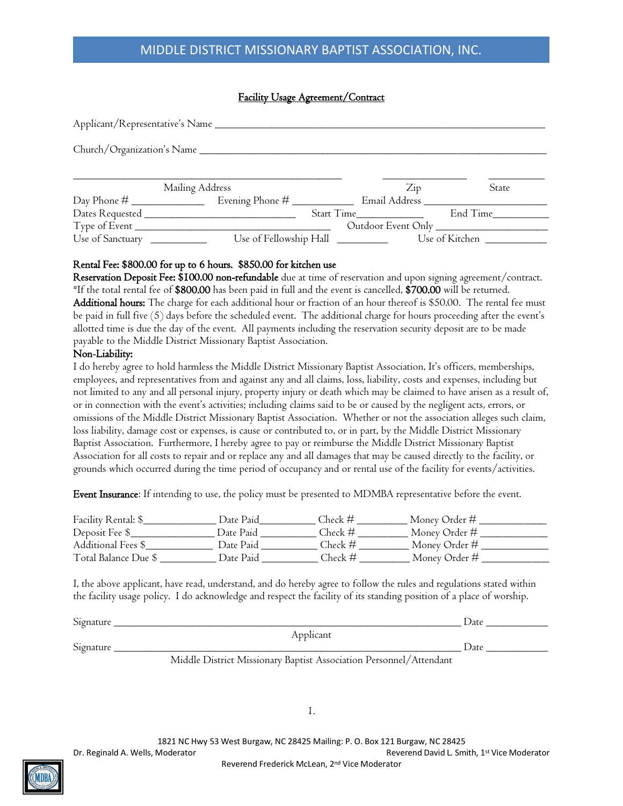# MIDDLE DISTRICT MISSIONARY BAPTIST ASSOCIATION, INC.

#### Facility Usage Agreement/Contract

|                              | Mailing Address |                                  | $\overline{Z}$ ip | <b>State</b>   |  |  |  |  |
|------------------------------|-----------------|----------------------------------|-------------------|----------------|--|--|--|--|
|                              |                 |                                  |                   |                |  |  |  |  |
|                              |                 | Start Time                       |                   | End Time       |  |  |  |  |
|                              |                 |                                  |                   |                |  |  |  |  |
| Use of Sanctuary ___________ |                 | Use of Fellowship Hall _________ |                   | Use of Kitchen |  |  |  |  |

#### Rental Fee: \$800.00 for up to 6 hours. \$850.00 for kitchen use

Reservation Deposit Fee: \$100.00 non-refundable due at time of reservation and upon signing agreement/contract. \*If the total rental fee of \$800.00 has been paid in full and the event is cancelled, \$700.00 will be returned. Additional hours: The charge for each additional hour or fraction of an hour thereof is \$50.00. The rental fee must be paid in full five (5) days before the scheduled event. The additional charge for hours proceeding after the event's allotted time is due the day of the event. All payments including the reservation security deposit are to be made payable to the Middle District Missionary Baptist Association.

#### Non-Liability:

I do hereby agree to hold harmless the Middle District Missionary Baptist Association, It's officers, memberships, employees, and representatives from and against any and all claims, loss, liability, costs and expenses, including but not limited to any and all personal injury, property injury or death which may be claimed to have arisen as a result of, or in connection with the event's activities; including claims said to be or caused by the negligent acts, errors, or omissions of the Middle District Missionary Baptist Association. Whether or not the association alleges such claim, loss liability, damage cost or expenses, is cause or contributed to, or in part, by the Middle District Missionary Baptist Association. Furthermore, I hereby agree to pay or reimburse the Middle District Missionary Baptist Association for all costs to repair and or replace any and all damages that may be caused directly to the facility, or grounds which occurred during the time period of occupancy and or rental use of the facility for events/activities.

Event Insurance: If intending to use, the policy must be presented to MDMBA representative before the event.

| Facility Rental: \$_ | Date Paid | Check #   | Money Order # |
|----------------------|-----------|-----------|---------------|
| Deposit Fee \$       | Date Paid | Check #   | Money Order # |
| Additional Fees \$   | Date Paid | Check $#$ | Money Order # |
| Total Balance Due \$ | Date Paid | Check #   | Money Order # |

I, the above applicant, have read, understand, and do hereby agree to follow the rules and regulations stated within the facility usage policy. I do acknowledge and respect the facility of its standing position of a place of worship.

| Signature |           | Jate |
|-----------|-----------|------|
|           | Applicant |      |
| Signature |           | Date |
|           | _______   | .    |

Middle District Missionary Baptist Association Personnel/Attendant

1.

1821 NC Hwy 53 West Burgaw, NC 28425 Mailing: P. O. Box 121 Burgaw, NC 28425

Dr. Reginald A. Wells, Moderator **Reverend David L. Smith, 1st Vice Moderator** Reverend David L. Smith, 1st Vice Moderator

Reverend Frederick McLean, 2<sup>nd</sup> Vice Moderator

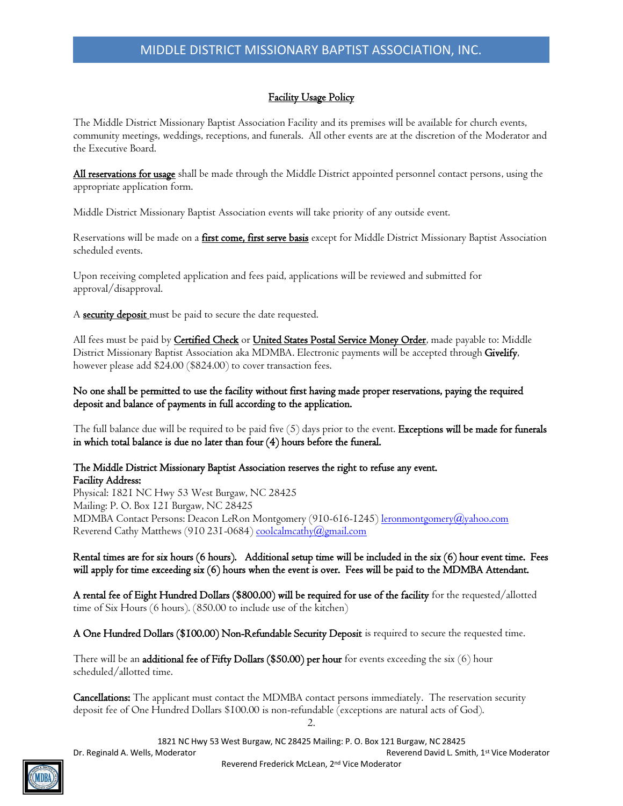## Facility Usage Policy

The Middle District Missionary Baptist Association Facility and its premises will be available for church events, community meetings, weddings, receptions, and funerals. All other events are at the discretion of the Moderator and the Executive Board.

All reservations for usage shall be made through the Middle District appointed personnel contact persons, using the appropriate application form.

Middle District Missionary Baptist Association events will take priority of any outside event.

Reservations will be made on a *first come, first serve basis* except for Middle District Missionary Baptist Association scheduled events.

Upon receiving completed application and fees paid, applications will be reviewed and submitted for approval/disapproval.

A **security deposit** must be paid to secure the date requested.

All fees must be paid by Certified Check or United States Postal Service Money Order, made payable to: Middle District Missionary Baptist Association aka MDMBA. Electronic payments will be accepted through Givelify, however please add \$24.00 (\$824.00) to cover transaction fees.

No one shall be permitted to use the facility without first having made proper reservations, paying the required deposit and balance of payments in full according to the application.

The full balance due will be required to be paid five (5) days prior to the event. Exceptions will be made for funerals in which total balance is due no later than four (4) hours before the funeral.

#### The Middle District Missionary Baptist Association reserves the right to refuse any event. Facility Address:

Physical: 1821 NC Hwy 53 West Burgaw, NC 28425 Mailing: P. O. Box 121 Burgaw, NC 28425 MDMBA Contact Persons: Deacon LeRon Montgomery (910-616-1245[\) leronmontgomery@yahoo.com](mailto:leronmontgomery@yahoo.com) Reverend Cathy Matthews (910 231-0684[\) coolcalmcathy@gmail.com](mailto:coolcalmcathy@gmail.com)

Rental times are for six hours (6 hours). Additional setup time will be included in the six (6) hour event time. Fees will apply for time exceeding six (6) hours when the event is over. Fees will be paid to the MDMBA Attendant.

A rental fee of Eight Hundred Dollars (\$800.00) will be required for use of the facility for the requested/allotted time of Six Hours (6 hours). (850.00 to include use of the kitchen)

A One Hundred Dollars (\$100.00) Non-Refundable Security Deposit is required to secure the requested time.

There will be an **additional fee of Fifty Dollars (\$50.00) per hour** for events exceeding the six  $(6)$  hour scheduled/allotted time.

Cancellations: The applicant must contact the MDMBA contact persons immediately. The reservation security deposit fee of One Hundred Dollars \$100.00 is non-refundable (exceptions are natural acts of God).

2.

1821 NC Hwy 53 West Burgaw, NC 28425 Mailing: P. O. Box 121 Burgaw, NC 28425

Dr. Reginald A. Wells, Moderator **Reverend David L. Smith, 1st Vice Moderator** Reverend David L. Smith, 1st Vice Moderator

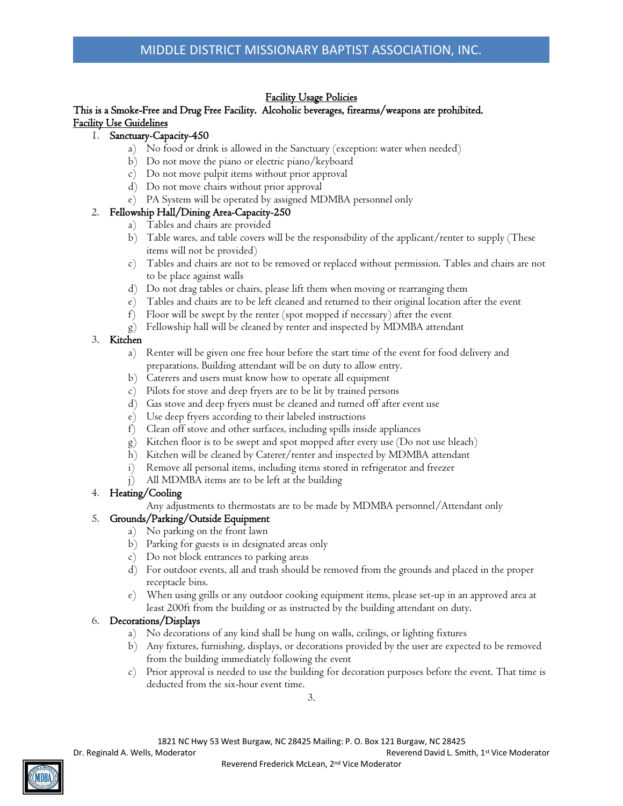## Facility Usage Policies

### This is a Smoke-Free and Drug Free Facility. Alcoholic beverages, firearms/weapons are prohibited. Facility Use Guidelines

### 1. Sanctuary-Capacity-450

- a) No food or drink is allowed in the Sanctuary (exception: water when needed)
- b) Do not move the piano or electric piano/keyboard
- c) Do not move pulpit items without prior approval
- d) Do not move chairs without prior approval
- e) PA System will be operated by assigned MDMBA personnel only

### 2. Fellowship Hall/Dining Area-Capacity-250

- a) Tables and chairs are provided
- b) Table wares, and table covers will be the responsibility of the applicant/renter to supply (These items will not be provided)
- c) Tables and chairs are not to be removed or replaced without permission. Tables and chairs are not to be place against walls
- d) Do not drag tables or chairs, please lift them when moving or rearranging them
- e) Tables and chairs are to be left cleaned and returned to their original location after the event
- f) Floor will be swept by the renter (spot mopped if necessary) after the event
- g) Fellowship hall will be cleaned by renter and inspected by MDMBA attendant

## 3. Kitchen

- a) Renter will be given one free hour before the start time of the event for food delivery and preparations. Building attendant will be on duty to allow entry.
- b) Caterers and users must know how to operate all equipment
- c) Pilots for stove and deep fryers are to be lit by trained persons
- d) Gas stove and deep fryers must be cleaned and turned off after event use
- e) Use deep fryers according to their labeled instructions
- f) Clean off stove and other surfaces, including spills inside appliances
- g) Kitchen floor is to be swept and spot mopped after every use (Do not use bleach)
- h) Kitchen will be cleaned by Caterer/renter and inspected by MDMBA attendant
- i) Remove all personal items, including items stored in refrigerator and freezer
- j) All MDMBA items are to be left at the building

### 4. Heating/Cooling

Any adjustments to thermostats are to be made by MDMBA personnel/Attendant only

## 5. Grounds/Parking/Outside Equipment

- a) No parking on the front lawn
- b) Parking for guests is in designated areas only
- c) Do not block entrances to parking areas
- d) For outdoor events, all and trash should be removed from the grounds and placed in the proper receptacle bins.
- e) When using grills or any outdoor cooking equipment items, please set-up in an approved area at least 200ft from the building or as instructed by the building attendant on duty.

### 6. Decorations/Displays

- a) No decorations of any kind shall be hung on walls, ceilings, or lighting fixtures
- b) Any fixtures, furnishing, displays, or decorations provided by the user are expected to be removed from the building immediately following the event
- c) Prior approval is needed to use the building for decoration purposes before the event. That time is deducted from the six-hour event time.

3.

1821 NC Hwy 53 West Burgaw, NC 28425 Mailing: P. O. Box 121 Burgaw, NC 28425